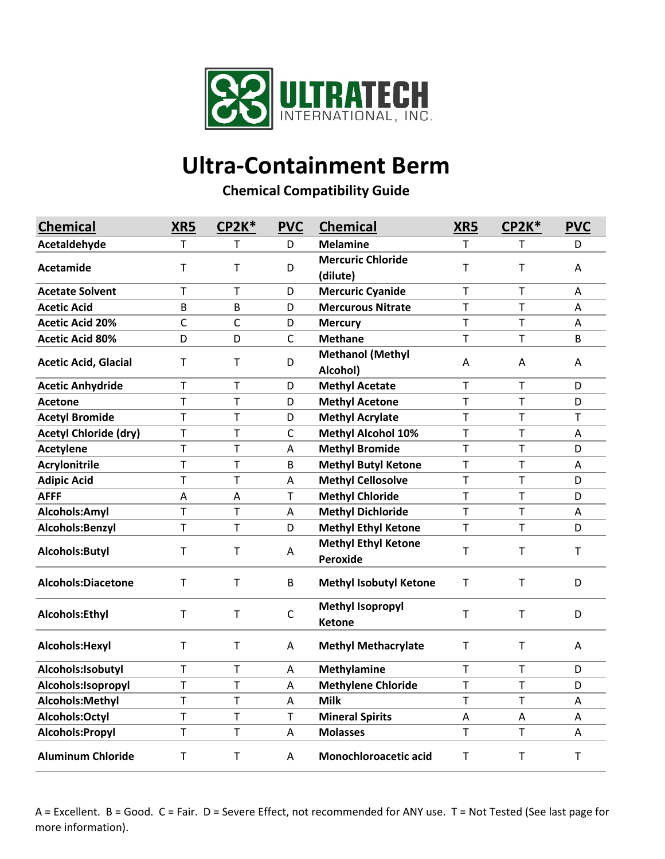

## **Ultra-Containment Berm**

**Chemical Compatibility Guide**

| <b>Chemical</b>              | XR5 | CP2K*        | <b>PVC</b>   | <b>Chemical</b>               | XR5          | <b>CP2K*</b> | <b>PVC</b>  |
|------------------------------|-----|--------------|--------------|-------------------------------|--------------|--------------|-------------|
| Acetaldehyde                 | T   | Τ            | D            | <b>Melamine</b>               | T            | т            | D           |
| Acetamide                    | т   | т            | D            | <b>Mercuric Chloride</b>      | $\mathsf T$  | T            | A           |
|                              |     |              |              | (dilute)                      |              |              |             |
| <b>Acetate Solvent</b>       | T   | T            | D            | <b>Mercuric Cyanide</b>       | $\mathsf T$  | $\mathsf{T}$ | A           |
| <b>Acetic Acid</b>           | B   | B            | D            | <b>Mercurous Nitrate</b>      | $\top$       | $\mathsf{T}$ | A           |
| <b>Acetic Acid 20%</b>       | C   | $\mathsf{C}$ | D            | <b>Mercury</b>                | T            | $\mathsf{T}$ | A           |
| <b>Acetic Acid 80%</b>       | D   | D            | $\mathsf{C}$ | <b>Methane</b>                | $\mathsf T$  | T            | B           |
| <b>Acetic Acid, Glacial</b>  | T   | $\top$       | D            | <b>Methanol (Methyl</b>       | A            | A            | A           |
|                              |     |              |              | Alcohol)                      |              |              |             |
| <b>Acetic Anhydride</b>      | T   | T            | D            | <b>Methyl Acetate</b>         | $\mathsf T$  | $\mathsf T$  | D           |
| <b>Acetone</b>               | T   | T            | D            | <b>Methyl Acetone</b>         | $\mathsf{T}$ | $\mathsf{T}$ | D           |
| <b>Acetyl Bromide</b>        | T   | T            | D            | <b>Methyl Acrylate</b>        | T            | T            | T           |
| <b>Acetyl Chloride (dry)</b> | T   | T            | $\mathsf{C}$ | <b>Methyl Alcohol 10%</b>     | $\top$       | $\mathsf T$  | A           |
| <b>Acetylene</b>             | T   | T            | A            | <b>Methyl Bromide</b>         | T            | $\mathsf{T}$ | D           |
| <b>Acrylonitrile</b>         | T   | T            | B            | <b>Methyl Butyl Ketone</b>    | T            | $\mathsf{T}$ | A           |
| <b>Adipic Acid</b>           | T   | T            | A            | <b>Methyl Cellosolve</b>      | $\mathsf T$  | $\mathsf T$  | D           |
| <b>AFFF</b>                  | A   | A            | $\mathsf{T}$ | <b>Methyl Chloride</b>        | T            | $\mathsf{T}$ | D           |
| Alcohols:Amyl                | T   | Т            | A            | <b>Methyl Dichloride</b>      | Τ            | Τ            | A           |
| Alcohols:Benzyl              | T   | T            | D            | <b>Methyl Ethyl Ketone</b>    | $\mathsf T$  | T            | D           |
| Alcohols: Butyl              | T   | T            | A            | <b>Methyl Ethyl Ketone</b>    | $\mathsf T$  | $\mathsf T$  | $\mathsf T$ |
|                              |     |              |              | Peroxide                      |              |              |             |
| Alcohols:Diacetone           | т   | Т            | B            | <b>Methyl Isobutyl Ketone</b> | т            | $\mathsf T$  | D           |
|                              |     |              |              |                               |              |              |             |
| Alcohols:Ethyl               | T   | T            | $\mathsf C$  | <b>Methyl Isopropyl</b>       | T            | $\mathsf{T}$ | D           |
|                              |     |              |              | <b>Ketone</b>                 |              |              |             |
| Alcohols: Hexyl              | T   | $\mathsf T$  | Α            | <b>Methyl Methacrylate</b>    | $\mathsf T$  | $\mathsf T$  | A           |
| Alcohols:Isobutyl            | T   | T            | A            | <b>Methylamine</b>            | $\mathsf T$  | $\mathsf T$  | D           |
| Alcohols: Isopropyl          | T   | T            | A            | <b>Methylene Chloride</b>     | $\mathsf T$  | T            | D           |
| Alcohols:Methyl              | T   | T            | A            | <b>Milk</b>                   | $\mathsf T$  | T            | A           |
| Alcohols:Octyl               | T   | T            | $\mathsf T$  | <b>Mineral Spirits</b>        | A            | A            | Α           |
| Alcohols: Propyl             | T   | Т            | A            | <b>Molasses</b>               | $\mathsf T$  | $\mathsf T$  | A           |
| <b>Aluminum Chloride</b>     | т   | т            | A            | Monochloroacetic acid         | T            | T            | т           |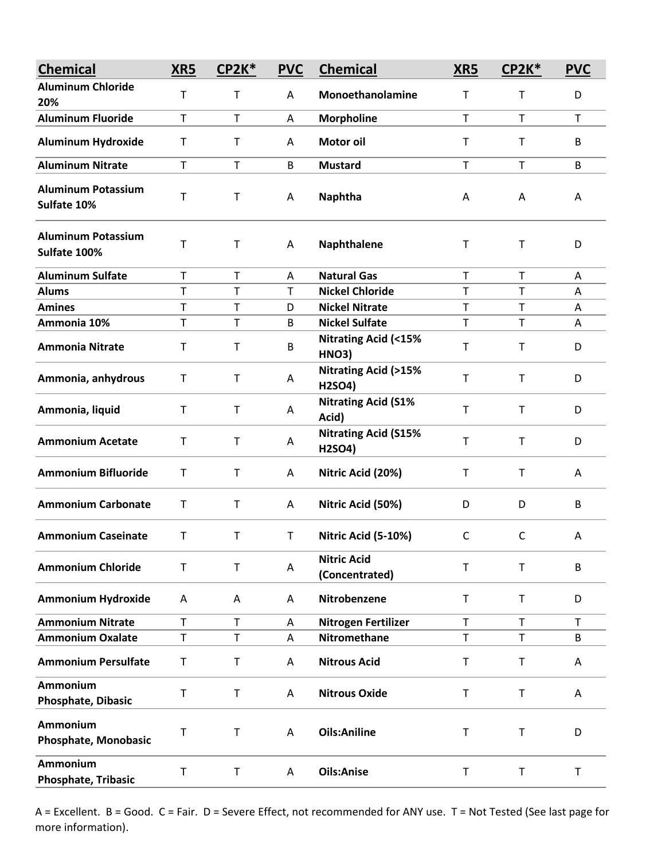| <b>Chemical</b>                           | XR5          | CP2K*        | <b>PVC</b> | <b>Chemical</b>                                | XR5          | $CP2K*$     | <b>PVC</b>   |
|-------------------------------------------|--------------|--------------|------------|------------------------------------------------|--------------|-------------|--------------|
| <b>Aluminum Chloride</b><br>20%           | Т            | $\mathsf T$  | Α          | Monoethanolamine                               | Τ            | T           | D            |
| <b>Aluminum Fluoride</b>                  | $\mathsf T$  | $\top$       | A          | <b>Morpholine</b>                              | $\mathsf T$  | T           | $\mathsf T$  |
| <b>Aluminum Hydroxide</b>                 | $\mathsf T$  | $\mathsf T$  | Α          | Motor oil                                      | T            | T           | B            |
| <b>Aluminum Nitrate</b>                   | $\mathsf T$  | $\mathsf T$  | B          | <b>Mustard</b>                                 | $\mathsf T$  | T           | B            |
| <b>Aluminum Potassium</b><br>Sulfate 10%  | Т            | $\mathsf T$  | Α          | <b>Naphtha</b>                                 | A            | A           | A            |
| <b>Aluminum Potassium</b><br>Sulfate 100% | $\sf T$      | $\mathsf T$  | A          | Naphthalene                                    | T            | T           | D            |
| <b>Aluminum Sulfate</b>                   | $\mathsf T$  | $\mathsf T$  | A          | <b>Natural Gas</b>                             | T            | T           | A            |
| <b>Alums</b>                              | $\mathsf{T}$ | $\mathsf T$  | T          | <b>Nickel Chloride</b>                         | T            | T           | A            |
| <b>Amines</b>                             | T            | T            | D          | <b>Nickel Nitrate</b>                          | $\top$       | T           | Α            |
| Ammonia 10%                               | $\mathsf T$  | $\mathsf T$  | B          | <b>Nickel Sulfate</b>                          | $\mathsf T$  | $\mathsf T$ | A            |
| <b>Ammonia Nitrate</b>                    | $\mathsf T$  | $\mathsf T$  | B          | <b>Nitrating Acid (&lt;15%</b><br><b>HNO3)</b> | T            | $\mathsf T$ | D            |
| Ammonia, anhydrous                        | Τ            | $\mathsf T$  | A          | <b>Nitrating Acid (&gt;15%</b><br>H2SO4)       | T            | T           | D            |
| Ammonia, liquid                           | $\mathsf T$  | $\mathsf T$  | Α          | <b>Nitrating Acid (S1%</b><br>Acid)            | T            | $\mathsf T$ | D            |
| <b>Ammonium Acetate</b>                   | T            | $\mathsf T$  | Α          | <b>Nitrating Acid (S15%</b><br>H2SO4)          | T            | T           | D            |
| <b>Ammonium Bifluoride</b>                | T            | $\mathsf T$  | Α          | Nitric Acid (20%)                              | Τ            | Τ           | Α            |
| <b>Ammonium Carbonate</b>                 | т            | $\mathsf T$  | A          | Nitric Acid (50%)                              | D            | D           | B            |
| <b>Ammonium Caseinate</b>                 | т            | $\mathsf T$  | T          | Nitric Acid (5-10%)                            | C            | C           | A            |
| <b>Ammonium Chloride</b>                  | $\mathsf T$  | $\mathsf{T}$ | A          | <b>Nitric Acid</b><br>(Concentrated)           | $\mathsf{T}$ | T           | B            |
| <b>Ammonium Hydroxide</b>                 | A            | Α            | Α          | Nitrobenzene                                   | $\mathsf T$  | $\mathsf T$ | D            |
| <b>Ammonium Nitrate</b>                   | $\mathsf T$  | $\mathsf T$  | A          | Nitrogen Fertilizer                            | T            | T           | $\mathsf{T}$ |
| <b>Ammonium Oxalate</b>                   | T            | T            | Α          | <b>Nitromethane</b>                            | T            | T           | B            |
| <b>Ammonium Persulfate</b>                | $\mathsf T$  | $\mathsf T$  | Α          | <b>Nitrous Acid</b>                            | T            | T           | Α            |
| Ammonium<br>Phosphate, Dibasic            | Τ            | $\sf T$      | Α          | <b>Nitrous Oxide</b>                           | T            | T           | Α            |
| Ammonium<br>Phosphate, Monobasic          | т            | $\mathsf T$  | A          | <b>Oils:Aniline</b>                            | T            | T           | D            |
| Ammonium<br><b>Phosphate, Tribasic</b>    | $\sf T$      | $\sf T$      | A          | <b>Oils:Anise</b>                              | T            | T           | $\mathsf T$  |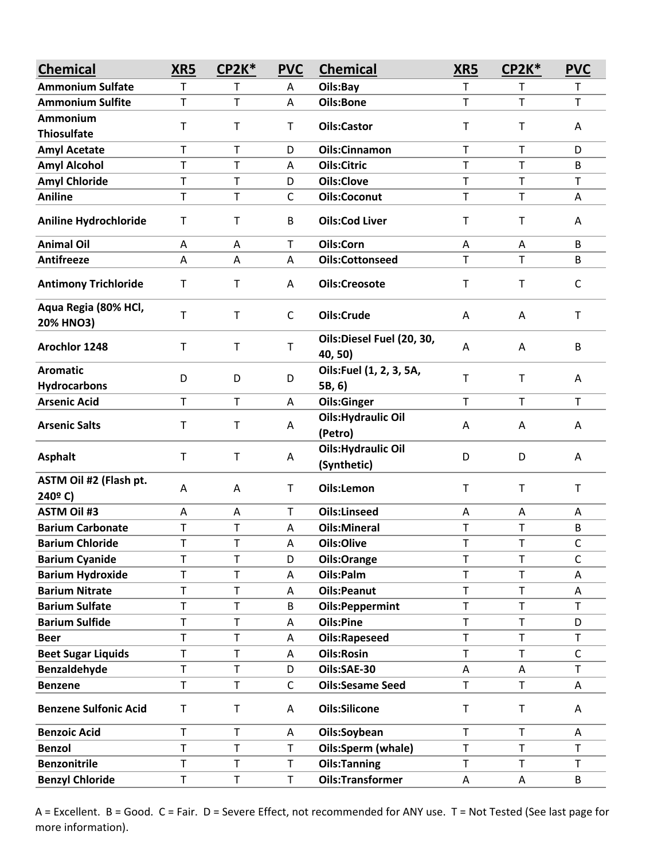| <b>Chemical</b>                        | XR5          | <b>CP2K*</b> | <b>PVC</b>   | <b>Chemical</b>                           | XR5         | <b>CP2K*</b> | <b>PVC</b>   |
|----------------------------------------|--------------|--------------|--------------|-------------------------------------------|-------------|--------------|--------------|
| <b>Ammonium Sulfate</b>                | T            | т            | Α            | Oils:Bay                                  | T           | т            | $\mathsf T$  |
| <b>Ammonium Sulfite</b>                | $\mathsf T$  | T            | Α            | Oils:Bone                                 | T           | T            | $\mathsf{T}$ |
| Ammonium                               | T            | $\sf T$      |              |                                           | T           | T            |              |
| <b>Thiosulfate</b>                     |              |              | T            | <b>Oils:Castor</b>                        |             |              | Α            |
| <b>Amyl Acetate</b>                    | T            | T            | D            | <b>Oils:Cinnamon</b>                      | T           | T            | D            |
| <b>Amyl Alcohol</b>                    | T            | T            | A            | <b>Oils:Citric</b>                        | T           | T            | B            |
| <b>Amyl Chloride</b>                   | $\mathsf T$  | $\mathsf T$  | D            | <b>Oils:Clove</b>                         | T           | T            | $\mathsf T$  |
| <b>Aniline</b>                         | T            | T            | C            | <b>Oils:Coconut</b>                       | T           | T            | A            |
| <b>Aniline Hydrochloride</b>           | Т            | T            | B            | <b>Oils:Cod Liver</b>                     | T           | T            | Α            |
| <b>Animal Oil</b>                      | A            | A            | T            | Oils:Corn                                 | Α           | Α            | B            |
| Antifreeze                             | Α            | А            | Α            | <b>Oils:Cottonseed</b>                    | T           | T.           | B            |
| <b>Antimony Trichloride</b>            | Т            | T            | A            | <b>Oils:Creosote</b>                      | Т           | T            | C            |
| Aqua Regia (80% HCl,<br>20% HNO3)      | T            | $\mathsf T$  | $\mathsf{C}$ | Oils:Crude                                | A           | Α            | $\mathsf T$  |
| Arochlor 1248                          | $\mathsf T$  | $\mathsf T$  | $\mathsf T$  | Oils:Diesel Fuel (20, 30,<br>40, 50)      | A           | Α            | B            |
| <b>Aromatic</b><br><b>Hydrocarbons</b> | D            | D            | D            | Oils:Fuel (1, 2, 3, 5A,<br>5B, 6)         | T           | T            | A            |
| <b>Arsenic Acid</b>                    | $\mathsf{T}$ | T            | Α            | <b>Oils:Ginger</b>                        | T.          | $\mathsf{T}$ | $\mathsf{T}$ |
| <b>Arsenic Salts</b>                   | T            | T            | Α            | <b>Oils: Hydraulic Oil</b><br>(Petro)     | A           | Α            | A            |
| <b>Asphalt</b>                         | T            | $\mathsf T$  | Α            | <b>Oils: Hydraulic Oil</b><br>(Synthetic) | D           | D            | A            |
| ASTM Oil #2 (Flash pt.<br>240°C)       | A            | A            | $\mathsf T$  | Oils:Lemon                                | $\mathsf T$ | $\mathsf T$  | $\mathsf T$  |
| <b>ASTM Oil #3</b>                     | A            | Α            | T            | <b>Oils:Linseed</b>                       | A           | A            | A            |
| <b>Barium Carbonate</b>                | T            | T            | Α            | <b>Oils:Mineral</b>                       | T           | T            | В            |
| <b>Barium Chloride</b>                 | Т            | T            | Α            | Oils:Olive                                | T           | T            | C            |
| <b>Barium Cyanide</b>                  | T            | T            | D            | Oils:Orange                               | T           | T            | $\mathsf C$  |
| <b>Barium Hydroxide</b>                | T            | T            | A            | Oils:Palm                                 | T           | T            | Α            |
| <b>Barium Nitrate</b>                  | $\mathsf T$  | $\mathsf T$  | Α            | <b>Oils:Peanut</b>                        | $\mathsf T$ | T            | Α            |
| <b>Barium Sulfate</b>                  | T            | T            | B            | <b>Oils:Peppermint</b>                    | T           | T            | $\mathsf T$  |
| <b>Barium Sulfide</b>                  | T            | T            | Α            | <b>Oils:Pine</b>                          | T           | T            | D            |
| <b>Beer</b>                            | T            | T            | Α            | <b>Oils:Rapeseed</b>                      | T           | T            | $\mathsf T$  |
| <b>Beet Sugar Liquids</b>              | T            | $\sf T$      | Α            | <b>Oils:Rosin</b>                         | T           | T            | $\mathsf C$  |
| Benzaldehyde                           | T            | $\mathsf T$  | D            | Oils:SAE-30                               | Α           | Α            | $\mathsf T$  |
| <b>Benzene</b>                         | T            | T            | $\mathsf{C}$ | <b>Oils:Sesame Seed</b>                   | T           | T            | Α            |
| <b>Benzene Sulfonic Acid</b>           | $\mathsf T$  | $\sf T$      | Α            | <b>Oils:Silicone</b>                      | T           | T            | Α            |
| <b>Benzoic Acid</b>                    | T            | T            | Α            | Oils:Soybean                              | T           | T            | Α            |
| <b>Benzol</b>                          | T            | T            | $\mathsf{T}$ | Oils:Sperm (whale)                        | T           | T            | $\mathsf{T}$ |
| <b>Benzonitrile</b>                    | T            | T            | $\mathsf T$  | <b>Oils:Tanning</b>                       | Т           | T            | Τ            |
| <b>Benzyl Chloride</b>                 | T            | T            | $\mathsf T$  | <b>Oils:Transformer</b>                   | Α           | Α            | B            |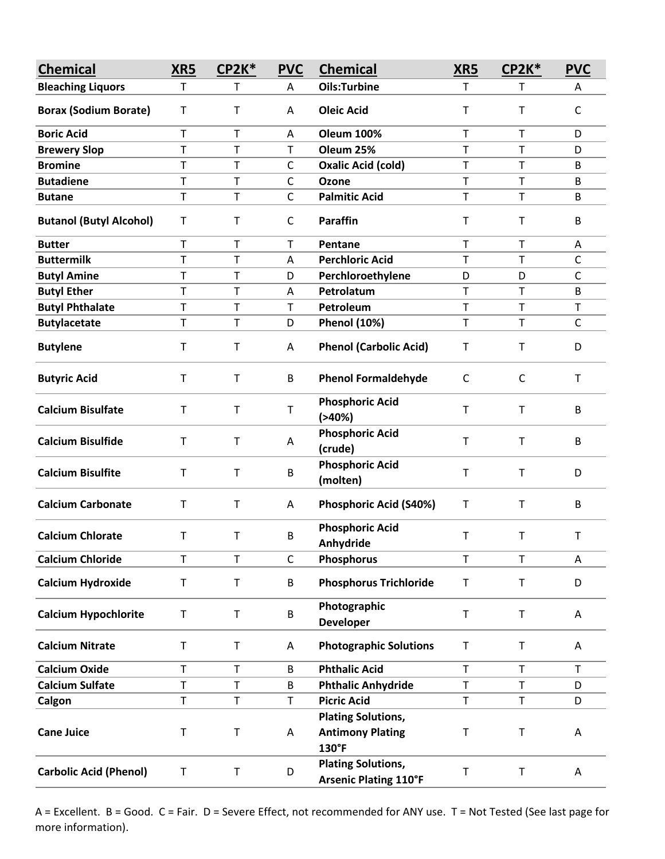| <b>Chemical</b>                | XR5          | CP2K*       | <b>PVC</b>   | <b>Chemical</b>                                               | <b>XR5</b>  | CP2K*       | <b>PVC</b>   |
|--------------------------------|--------------|-------------|--------------|---------------------------------------------------------------|-------------|-------------|--------------|
| <b>Bleaching Liquors</b>       | $\mathsf T$  | Τ           | A            | <b>Oils:Turbine</b>                                           | T.          | т           | A            |
| <b>Borax (Sodium Borate)</b>   | T            | $\mathsf T$ | A            | <b>Oleic Acid</b>                                             | T           | T           | $\mathsf{C}$ |
| <b>Boric Acid</b>              | $\mathsf{T}$ | $\mathsf T$ | A            | <b>Oleum 100%</b>                                             | $\mathsf T$ | T           | D            |
| <b>Brewery Slop</b>            | T            | T           | T            | Oleum 25%                                                     | T           | T           | D            |
| <b>Bromine</b>                 | Т            | Τ           | C            | <b>Oxalic Acid (cold)</b>                                     | T           | T           | B            |
| <b>Butadiene</b>               | T            | T           | $\mathsf{C}$ | <b>Ozone</b>                                                  | $\mathsf T$ | T           | B            |
| <b>Butane</b>                  | T            | $\mathsf T$ | $\mathsf{C}$ | <b>Palmitic Acid</b>                                          | T           | T           | B            |
| <b>Butanol (Butyl Alcohol)</b> | т            | $\mathsf T$ | $\mathsf{C}$ | <b>Paraffin</b>                                               | T           | T           | B            |
| <b>Butter</b>                  | $\mathsf T$  | $\mathsf T$ | Τ            | Pentane                                                       | T           | T           | Α            |
| <b>Buttermilk</b>              | T            | Τ           | Α            | <b>Perchloric Acid</b>                                        | $\mathsf T$ | T           | $\mathsf{C}$ |
| <b>Butyl Amine</b>             | T            | Τ           | D            | Perchloroethylene                                             | D           | D           | $\mathsf{C}$ |
| <b>Butyl Ether</b>             | T            | Τ           | Α            | Petrolatum                                                    | $\mathsf T$ | T           | B            |
| <b>Butyl Phthalate</b>         | T            | $\sf T$     | T            | Petroleum                                                     | T           | T           | $\mathsf T$  |
| <b>Butylacetate</b>            | T            | Τ           | D            | <b>Phenol (10%)</b>                                           | $\mathsf T$ | T           | $\mathsf{C}$ |
| <b>Butylene</b>                | Τ            | $\mathsf T$ | Α            | <b>Phenol (Carbolic Acid)</b>                                 | Т           | Т           | D            |
| <b>Butyric Acid</b>            | T            | $\mathsf T$ | B            | <b>Phenol Formaldehyde</b>                                    | C           | C           | T            |
| <b>Calcium Bisulfate</b>       | $\mathsf T$  | $\mathsf T$ | $\mathsf T$  | <b>Phosphoric Acid</b><br>$( > 40\%)$                         | T           | $\mathsf T$ | B            |
| <b>Calcium Bisulfide</b>       | $\mathsf T$  | $\mathsf T$ | А            | <b>Phosphoric Acid</b><br>(crude)                             | T           | T           | B            |
| <b>Calcium Bisulfite</b>       | T            | $\sf T$     | B            | <b>Phosphoric Acid</b><br>(molten)                            | T           | T           | D            |
| <b>Calcium Carbonate</b>       | т            | T           | Α            | <b>Phosphoric Acid (S40%)</b>                                 | т           | т           | B            |
| <b>Calcium Chlorate</b>        | Т            | Τ           | B            | <b>Phosphoric Acid</b><br>Anhydride                           | Т           | T           | T            |
| <b>Calcium Chloride</b>        | $\mathsf T$  | $\top$      | $\mathsf{C}$ | Phosphorus                                                    | T           | T           | A            |
| <b>Calcium Hydroxide</b>       | $\mathsf T$  | $\sf T$     | B            | <b>Phosphorus Trichloride</b>                                 | T           | T           | D            |
| <b>Calcium Hypochlorite</b>    | $\sf T$      | $\sf T$     | B            | Photographic<br><b>Developer</b>                              | $\mathsf T$ | T           | Α            |
| <b>Calcium Nitrate</b>         | $\sf T$      | $\sf T$     | Α            | <b>Photographic Solutions</b>                                 | Т           | T           | Α            |
| <b>Calcium Oxide</b>           | T            | $\mathsf T$ | B            | <b>Phthalic Acid</b>                                          | T           | T           | $\mathsf T$  |
| <b>Calcium Sulfate</b>         | T            | T           | B            | <b>Phthalic Anhydride</b>                                     | T           | T           | D            |
| Calgon                         | T            | $\mathsf T$ | $\mathsf T$  | <b>Picric Acid</b>                                            | $\mathsf T$ | T           | D            |
| <b>Cane Juice</b>              | $\sf T$      | $\mathsf T$ | Α            | <b>Plating Solutions,</b><br><b>Antimony Plating</b><br>130°F | Т           | $\sf T$     | Α            |
| <b>Carbolic Acid (Phenol)</b>  | $\sf T$      | $\sf T$     | D            | <b>Plating Solutions,</b><br><b>Arsenic Plating 110°F</b>     | Τ           | T           | Α            |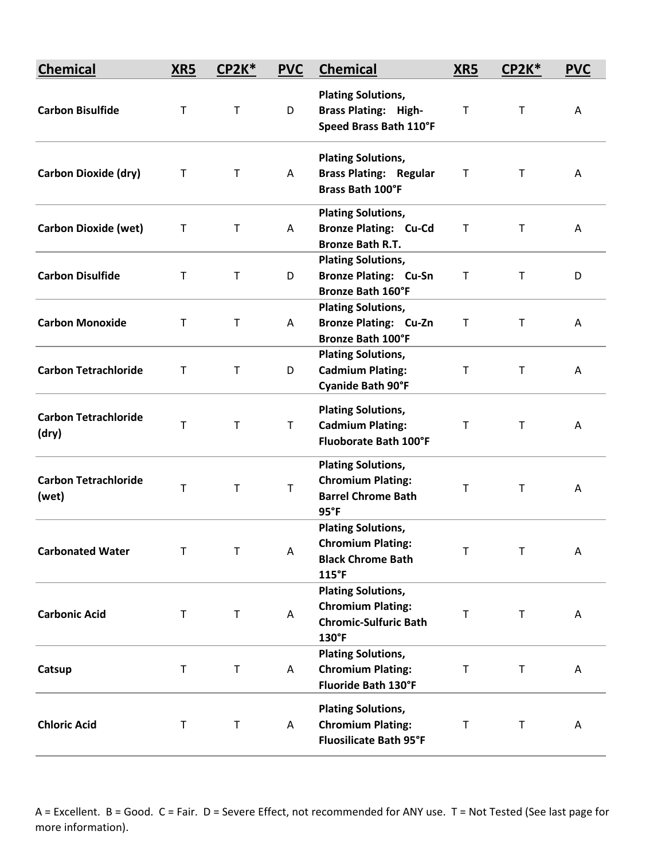| <b>Chemical</b>                      | XR5         | CP2K*       | <b>PVC</b>  | <b>Chemical</b>                                                                                | XRS         | $CP2K*$ | <b>PVC</b> |
|--------------------------------------|-------------|-------------|-------------|------------------------------------------------------------------------------------------------|-------------|---------|------------|
| <b>Carbon Bisulfide</b>              | $\mathsf T$ | $\mathsf T$ | D           | <b>Plating Solutions,</b><br><b>Brass Plating: High-</b><br>Speed Brass Bath 110°F             | $\mathsf T$ | T       | A          |
| <b>Carbon Dioxide (dry)</b>          | $\mathsf T$ | T           | A           | <b>Plating Solutions,</b><br><b>Brass Plating: Regular</b><br><b>Brass Bath 100°F</b>          | Τ           | T       | A          |
| <b>Carbon Dioxide (wet)</b>          | Τ           | $\mathsf T$ | Α           | <b>Plating Solutions,</b><br><b>Bronze Plating: Cu-Cd</b><br><b>Bronze Bath R.T.</b>           | $\mathsf T$ | T       | A          |
| <b>Carbon Disulfide</b>              | Τ           | T           | D           | <b>Plating Solutions,</b><br><b>Bronze Plating: Cu-Sn</b><br><b>Bronze Bath 160°F</b>          | $\mathsf T$ | Τ       | D          |
| <b>Carbon Monoxide</b>               | T           | $\sf T$     | A           | <b>Plating Solutions,</b><br><b>Bronze Plating: Cu-Zn</b><br><b>Bronze Bath 100°F</b>          | Τ           | т       | A          |
| <b>Carbon Tetrachloride</b>          | т           | $\mathsf T$ | D           | <b>Plating Solutions,</b><br><b>Cadmium Plating:</b><br><b>Cyanide Bath 90°F</b>               | $\mathsf T$ | T       | Α          |
| <b>Carbon Tetrachloride</b><br>(dry) | T           | $\sf T$     | $\mathsf T$ | <b>Plating Solutions,</b><br><b>Cadmium Plating:</b><br><b>Fluoborate Bath 100°F</b>           | Т           | T       | Α          |
| <b>Carbon Tetrachloride</b><br>(wet) | $\mathsf T$ | $\mathsf T$ | T           | <b>Plating Solutions,</b><br><b>Chromium Plating:</b><br><b>Barrel Chrome Bath</b><br>95°F     | Т           | Т       | A          |
| <b>Carbonated Water</b>              | Т           | T           | Α           | <b>Plating Solutions,</b><br><b>Chromium Plating:</b><br><b>Black Chrome Bath</b><br>115°F     | Т           | т       | Α          |
| <b>Carbonic Acid</b>                 | $\mathsf T$ | T           | Α           | <b>Plating Solutions,</b><br><b>Chromium Plating:</b><br><b>Chromic-Sulfuric Bath</b><br>130°F | т           | T       | Α          |
| Catsup                               | $\sf T$     | $\sf T$     | Α           | <b>Plating Solutions,</b><br><b>Chromium Plating:</b><br>Fluoride Bath 130°F                   | $\sf T$     | T       | Α          |
| <b>Chloric Acid</b>                  | $\mathsf T$ | T           | A           | <b>Plating Solutions,</b><br><b>Chromium Plating:</b><br><b>Fluosilicate Bath 95°F</b>         | $\sf T$     | T       | A          |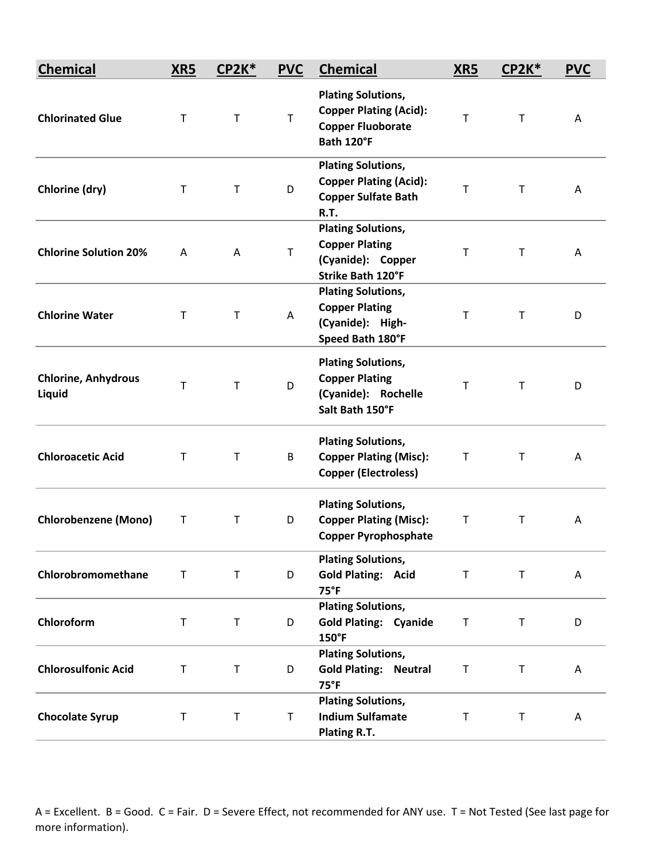| <b>Chemical</b>                      | XR5         | <b>CP2K*</b> | <b>PVC</b>  | <b>Chemical</b>                                                                                      | XRS          | $CP2K*$      | <b>PVC</b> |
|--------------------------------------|-------------|--------------|-------------|------------------------------------------------------------------------------------------------------|--------------|--------------|------------|
| <b>Chlorinated Glue</b>              | T           | $\mathsf T$  | T           | <b>Plating Solutions,</b><br><b>Copper Plating (Acid):</b><br><b>Copper Fluoborate</b><br>Bath 120°F | $\mathsf{T}$ | т            | A          |
| Chlorine (dry)                       | $\mathsf T$ | $\sf T$      | D           | <b>Plating Solutions,</b><br><b>Copper Plating (Acid):</b><br><b>Copper Sulfate Bath</b><br>R.T.     | $\mathsf T$  | T            | A          |
| <b>Chlorine Solution 20%</b>         | A           | A            | T           | <b>Plating Solutions,</b><br><b>Copper Plating</b><br>(Cyanide): Copper<br><b>Strike Bath 120°F</b>  | $\mathsf T$  | $\mathsf{T}$ | A          |
| <b>Chlorine Water</b>                | T           | T            | A           | <b>Plating Solutions,</b><br><b>Copper Plating</b><br>(Cyanide): High-<br>Speed Bath 180°F           | T            | T            | D          |
| <b>Chlorine, Anhydrous</b><br>Liquid | T           | $\mathsf{T}$ | D           | <b>Plating Solutions,</b><br><b>Copper Plating</b><br>(Cyanide): Rochelle<br>Salt Bath 150°F         | т            | т            | D          |
| <b>Chloroacetic Acid</b>             | T           | T            | B           | <b>Plating Solutions,</b><br><b>Copper Plating (Misc):</b><br><b>Copper (Electroless)</b>            | $\mathsf T$  | т            | A          |
| <b>Chlorobenzene (Mono)</b>          | Т           | $\mathsf T$  | D           | <b>Plating Solutions,</b><br><b>Copper Plating (Misc):</b><br><b>Copper Pyrophosphate</b>            | T            | T            | Α          |
| Chlorobromomethane                   | $\mathsf T$ | $\sf T$      | D           | <b>Plating Solutions,</b><br><b>Gold Plating: Acid</b><br>$75^{\circ}F$                              | $\sf T$      | $\mathsf T$  | Α          |
| Chloroform                           | $\mathsf T$ | T            | D           | <b>Plating Solutions,</b><br><b>Gold Plating: Cyanide</b><br>150°F                                   | $\sf T$      | T            | D          |
| <b>Chlorosulfonic Acid</b>           | $\mathsf T$ | $\sf T$      | D           | <b>Plating Solutions,</b><br><b>Gold Plating: Neutral</b><br>75°F                                    | $\mathsf T$  | T            | A          |
| <b>Chocolate Syrup</b>               | T           | $\mathsf T$  | $\mathsf T$ | <b>Plating Solutions,</b><br><b>Indium Sulfamate</b><br>Plating R.T.                                 | $\mathsf T$  | $\mathsf T$  | A          |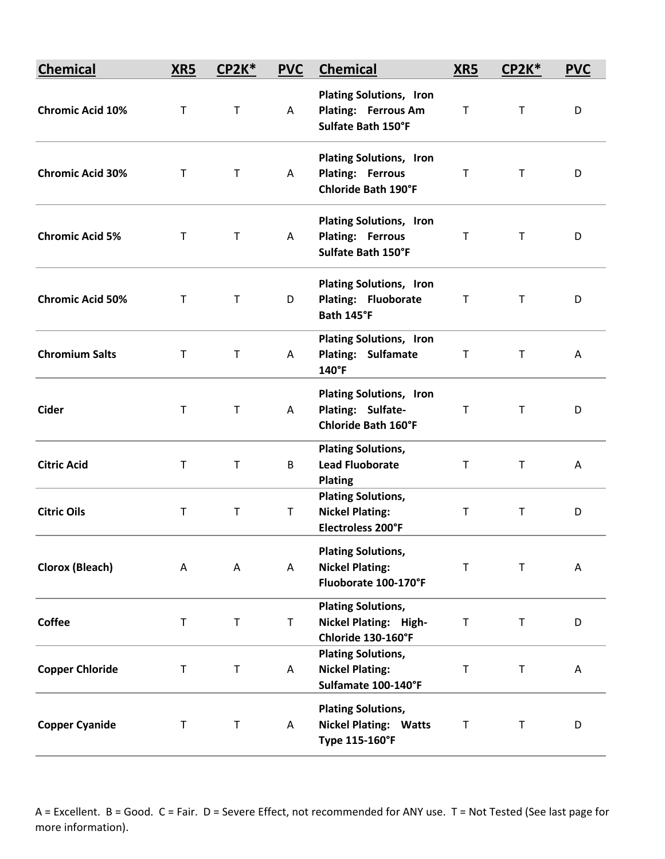| <b>Chemical</b>         | XR5         | $CP2K*$     | <b>PVC</b> | <b>Chemical</b>                                                                         | <b>XR5</b>  | $CP2K*$      | <b>PVC</b> |
|-------------------------|-------------|-------------|------------|-----------------------------------------------------------------------------------------|-------------|--------------|------------|
| <b>Chromic Acid 10%</b> | $\mathsf T$ | $\mathsf T$ | A          | <b>Plating Solutions, Iron</b><br>Plating: Ferrous Am<br>Sulfate Bath 150°F             | $\mathsf T$ | $\mathsf{T}$ | D          |
| <b>Chromic Acid 30%</b> | T           | T           | A          | <b>Plating Solutions, Iron</b><br><b>Plating: Ferrous</b><br><b>Chloride Bath 190°F</b> | T           | T.           | D          |
| <b>Chromic Acid 5%</b>  | T           | T           | A          | <b>Plating Solutions, Iron</b><br><b>Plating: Ferrous</b><br>Sulfate Bath 150°F         | T           | T            | D          |
| <b>Chromic Acid 50%</b> | T           | $\mathsf T$ | D          | <b>Plating Solutions, Iron</b><br>Plating: Fluoborate<br>Bath 145°F                     | $\mathsf T$ | T            | D          |
| <b>Chromium Salts</b>   | T           | T           | A          | <b>Plating Solutions, Iron</b><br><b>Plating: Sulfamate</b><br>140°F                    | T           | T            | A          |
| <b>Cider</b>            | $\top$      | $\mathsf T$ | A          | <b>Plating Solutions, Iron</b><br>Plating: Sulfate-<br><b>Chloride Bath 160°F</b>       | $\mathsf T$ | $\mathsf{T}$ | D          |
| <b>Citric Acid</b>      | $\mathsf T$ | T           | B          | <b>Plating Solutions,</b><br><b>Lead Fluoborate</b><br><b>Plating</b>                   | Τ           | Τ            | Α          |
| <b>Citric Oils</b>      | $\mathsf T$ | T           | T          | <b>Plating Solutions,</b><br><b>Nickel Plating:</b><br>Electroless 200°F                | $\mathsf T$ | T            | D          |
| <b>Clorox (Bleach)</b>  | A           | Α           | Α          | <b>Plating Solutions,</b><br><b>Nickel Plating:</b><br>Fluoborate 100-170°F             | Т           | T            | A          |
| <b>Coffee</b>           | $\mathsf T$ | $\mathsf T$ | T          | <b>Plating Solutions,</b><br><b>Nickel Plating: High-</b><br>Chloride 130-160°F         | $\mathsf T$ | $\mathsf T$  | D          |
| <b>Copper Chloride</b>  | $\sf T$     | $\sf T$     | Α          | <b>Plating Solutions,</b><br><b>Nickel Plating:</b><br>Sulfamate 100-140°F              | $\sf T$     | T            | Α          |
| <b>Copper Cyanide</b>   | T           | T           | A          | <b>Plating Solutions,</b><br><b>Nickel Plating: Watts</b><br>Type 115-160°F             | $\mathsf T$ | T            | D          |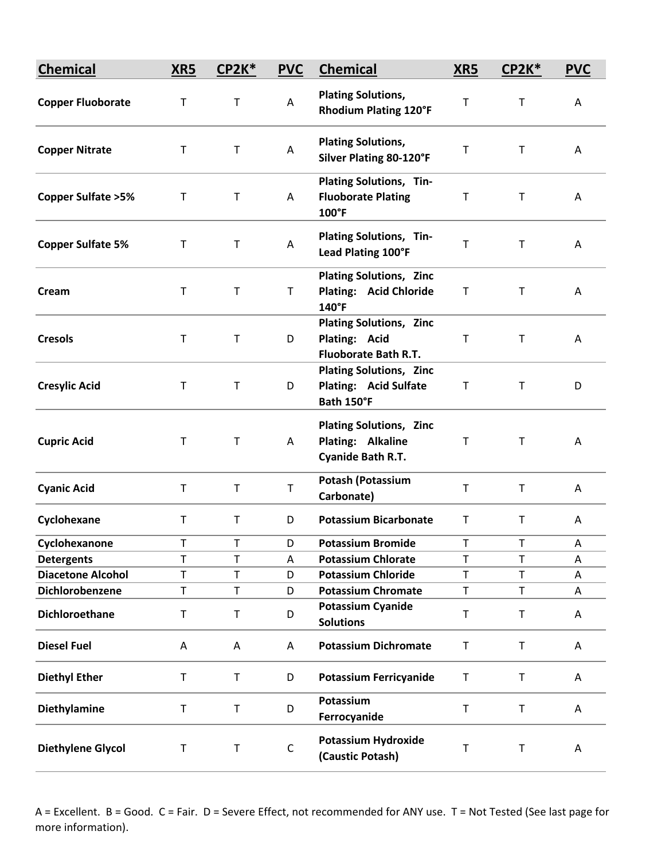| <b>Chemical</b>               | XR5          | <b>CP2K*</b> | <b>PVC</b>  | <b>Chemical</b>                                                                    | <b>XR5</b>  | <b>CP2K*</b> | <b>PVC</b> |
|-------------------------------|--------------|--------------|-------------|------------------------------------------------------------------------------------|-------------|--------------|------------|
| <b>Copper Fluoborate</b>      | Τ            | $\mathsf T$  | Α           | <b>Plating Solutions,</b><br><b>Rhodium Plating 120°F</b>                          | Т           | T            | A          |
| <b>Copper Nitrate</b>         | T            | $\sf T$      | Α           | <b>Plating Solutions,</b><br><b>Silver Plating 80-120°F</b>                        | T           | T            | A          |
| <b>Copper Sulfate &gt; 5%</b> | T            | $\mathsf T$  | A           | Plating Solutions, Tin-<br><b>Fluoborate Plating</b><br>$100^{\circ}$ F            | Τ           | Τ            | A          |
| <b>Copper Sulfate 5%</b>      | Т            | $\mathsf T$  | Α           | Plating Solutions, Tin-<br>Lead Plating 100°F                                      | Т           | T            | Α          |
| Cream                         | $\mathsf T$  | $\sf T$      | Τ           | <b>Plating Solutions, Zinc</b><br><b>Plating: Acid Chloride</b><br>$140^{\circ}$ F | T           | T            | A          |
| <b>Cresols</b>                | $\mathsf T$  | $\sf T$      | D           | <b>Plating Solutions, Zinc</b><br>Plating: Acid<br><b>Fluoborate Bath R.T.</b>     | T           | Τ            | A          |
| <b>Cresylic Acid</b>          | T            | $\sf T$      | D           | <b>Plating Solutions, Zinc</b><br>Plating: Acid Sulfate<br>Bath 150°F              | T           | T            | D          |
| <b>Cupric Acid</b>            | T            | $\mathsf T$  | A           | <b>Plating Solutions, Zinc</b><br>Plating: Alkaline<br>Cyanide Bath R.T.           | Τ           | Τ            | Α          |
| <b>Cyanic Acid</b>            | $\mathsf{T}$ | $\top$       | T           | <b>Potash (Potassium</b><br>Carbonate)                                             | $\mathsf T$ | T            | A          |
| Cyclohexane                   | T            | $\mathsf T$  | D           | <b>Potassium Bicarbonate</b>                                                       | T           | Τ            | A          |
| Cyclohexanone                 | T.           | T.           | D           | <b>Potassium Bromide</b>                                                           | T           | T            | Α          |
| <b>Detergents</b>             | T            | $\mathsf T$  | Α           | <b>Potassium Chlorate</b>                                                          | $\mathsf T$ | T            | A          |
| <b>Diacetone Alcohol</b>      | T            | $\mathsf T$  | D           | <b>Potassium Chloride</b>                                                          | T           | T            | Α          |
| Dichlorobenzene               | T            | T            | D           | <b>Potassium Chromate</b>                                                          | T           | T            | Α          |
| Dichloroethane                | Τ            | $\sf T$      | D           | <b>Potassium Cyanide</b><br><b>Solutions</b>                                       | T           | T            | Α          |
| <b>Diesel Fuel</b>            | A            | Α            | A           | <b>Potassium Dichromate</b>                                                        | T           | T            | A          |
| <b>Diethyl Ether</b>          | T            | $\sf T$      | D           | <b>Potassium Ferricyanide</b>                                                      | T           | T            | Α          |
| Diethylamine                  | T            | $\mathsf T$  | D           | Potassium<br>Ferrocyanide                                                          | $\mathsf T$ | T            | Α          |
| <b>Diethylene Glycol</b>      | $\sf T$      | $\sf T$      | $\mathsf C$ | <b>Potassium Hydroxide</b><br>(Caustic Potash)                                     | T           | T            | Α          |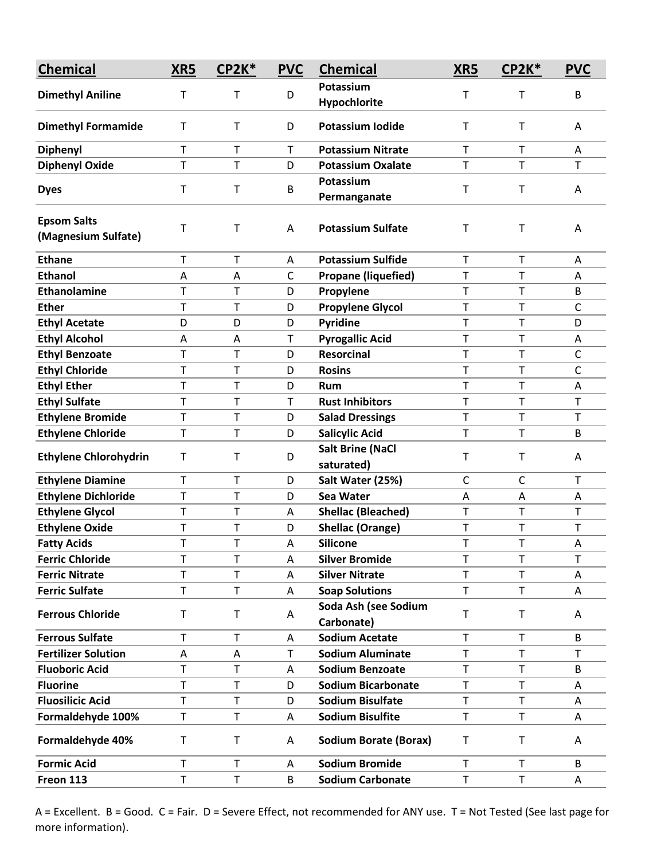| <b>Chemical</b>                           | XR5          | CP2K*        | <b>PVC</b>   | <b>Chemical</b>                       | XR5         | CP2K* | <b>PVC</b>   |
|-------------------------------------------|--------------|--------------|--------------|---------------------------------------|-------------|-------|--------------|
| <b>Dimethyl Aniline</b>                   | Т            | т            | D            | Potassium                             | Т           | T     | B            |
|                                           |              |              |              | Hypochlorite                          |             |       |              |
| <b>Dimethyl Formamide</b>                 | $\mathsf T$  | $\mathsf T$  | D            | <b>Potassium Iodide</b>               | т           | T     | A            |
| <b>Diphenyl</b>                           | T            | $\mathsf T$  | T            | <b>Potassium Nitrate</b>              | $\mathsf T$ | T     | A            |
| <b>Diphenyl Oxide</b>                     | T            | $\mathsf T$  | D            | <b>Potassium Oxalate</b>              | $\mathsf T$ | T     | Т            |
| <b>Dyes</b>                               | $\mathsf T$  | $\mathsf T$  | B            | Potassium<br>Permanganate             | Т           | T     | A            |
| <b>Epsom Salts</b><br>(Magnesium Sulfate) | т            | Τ            | Α            | <b>Potassium Sulfate</b>              | т           | T     | Α            |
| <b>Ethane</b>                             | $\mathsf{T}$ | $\mathsf{T}$ | Α            | <b>Potassium Sulfide</b>              | T           | T     | Α            |
| <b>Ethanol</b>                            | A            | Α            | $\mathsf{C}$ | <b>Propane (liquefied)</b>            | Т           | T     | A            |
| <b>Ethanolamine</b>                       | T            | Τ            | D            | Propylene                             | T           | T     | B            |
| <b>Ether</b>                              | T            | T            | D            | <b>Propylene Glycol</b>               | T           | T     | $\mathsf C$  |
| <b>Ethyl Acetate</b>                      | D            | D            | D            | Pyridine                              | $\mathsf T$ | T     | D            |
| <b>Ethyl Alcohol</b>                      | A            | A            | T            | <b>Pyrogallic Acid</b>                | T           | T     | A            |
| <b>Ethyl Benzoate</b>                     | Т            | Τ            | D            | <b>Resorcinal</b>                     | $\mathsf T$ | T     | $\mathsf C$  |
| <b>Ethyl Chloride</b>                     | T            | Τ            | D            | <b>Rosins</b>                         | $\mathsf T$ | T     | $\mathsf{C}$ |
| <b>Ethyl Ether</b>                        | T            | T            | D            | Rum                                   | Т           | T     | Α            |
| <b>Ethyl Sulfate</b>                      | T            | T            | T            | <b>Rust Inhibitors</b>                | $\mathsf T$ | T     | $\mathsf{T}$ |
| <b>Ethylene Bromide</b>                   | T            | T            | D            | <b>Salad Dressings</b>                | T           | T     | Т            |
| <b>Ethylene Chloride</b>                  | $\mathsf T$  | T            | D            | <b>Salicylic Acid</b>                 | T           | T     | B            |
| <b>Ethylene Chlorohydrin</b>              | T            | $\mathsf T$  | D            | <b>Salt Brine (NaCl</b><br>saturated) | Т           | T     | A            |
| <b>Ethylene Diamine</b>                   | T            | T            | D            | Salt Water (25%)                      | C           | C     | $\mathsf{T}$ |
| <b>Ethylene Dichloride</b>                | T            | T            | D            | Sea Water                             | Α           | Α     | A            |
| <b>Ethylene Glycol</b>                    | T            | T            | A            | <b>Shellac (Bleached)</b>             | $\mathsf T$ | T     | Т            |
| <b>Ethylene Oxide</b>                     | T            | T            | D            | <b>Shellac (Orange)</b>               | T           | T     | Т            |
| <b>Fatty Acids</b>                        | т            | T            | Α            | <b>Silicone</b>                       | т           | т     | Α            |
| <b>Ferric Chloride</b>                    | т            | T            | A            | <b>Silver Bromide</b>                 | T           | T     | Т            |
| <b>Ferric Nitrate</b>                     | T            | $\mathsf T$  | A            | <b>Silver Nitrate</b>                 | T           | T     | Α            |
| <b>Ferric Sulfate</b>                     | T            | T            | Α            | <b>Soap Solutions</b>                 | $\mathsf T$ | T     | Α            |
| <b>Ferrous Chloride</b>                   | Τ            | $\sf T$      | Α            | Soda Ash (see Sodium<br>Carbonate)    | Т           | T     | A            |
| <b>Ferrous Sulfate</b>                    | Т            | Τ            | A            | <b>Sodium Acetate</b>                 | T           | T     | B            |
| <b>Fertilizer Solution</b>                | A            | A            | Τ            | <b>Sodium Aluminate</b>               | T           | T     | Τ            |
| <b>Fluoboric Acid</b>                     | T            | $\mathsf T$  | A            | <b>Sodium Benzoate</b>                | $\mathsf T$ | T     | B            |
| <b>Fluorine</b>                           | T            | T            | D            | <b>Sodium Bicarbonate</b>             | T           | T     | Α            |
| <b>Fluosilicic Acid</b>                   | T            | $\mathsf T$  | D            | <b>Sodium Bisulfate</b>               | T           | T     | A            |
| Formaldehyde 100%                         | T            | T            | Α            | <b>Sodium Bisulfite</b>               | $\mathsf T$ | T     | A            |
| Formaldehyde 40%                          | Τ            | $\mathsf T$  | Α            | <b>Sodium Borate (Borax)</b>          | T           | T     | Α            |
| <b>Formic Acid</b>                        | $\mathsf T$  | T            | A            | <b>Sodium Bromide</b>                 | T           | T     | B            |
| Freon 113                                 | T            | Τ            | B            | <b>Sodium Carbonate</b>               | T           | T     | A            |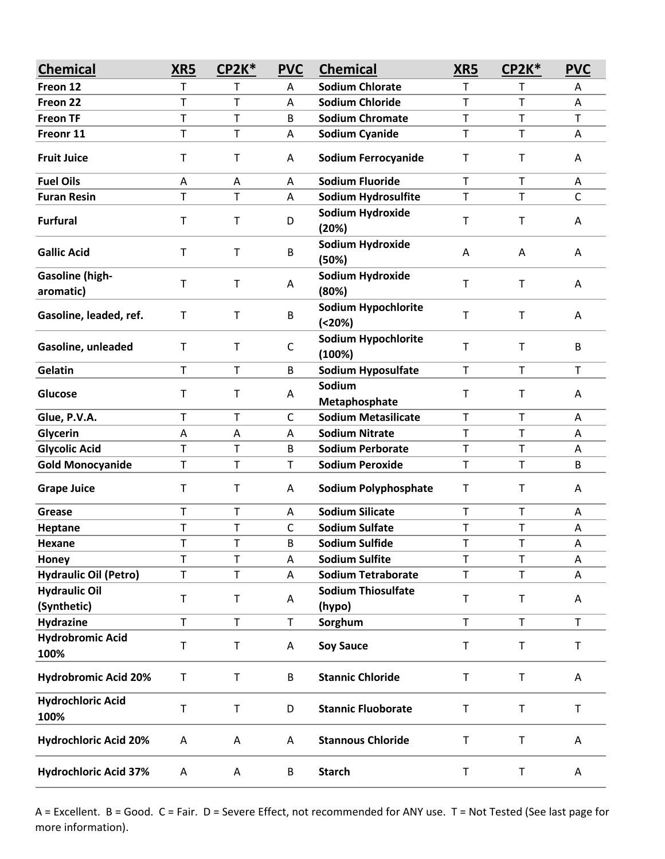| <b>Chemical</b>                     | XR5 | <b>CP2K*</b> | <b>PVC</b>   | <b>Chemical</b>                      | XR5         | <b>CP2K*</b> | <b>PVC</b>  |
|-------------------------------------|-----|--------------|--------------|--------------------------------------|-------------|--------------|-------------|
| Freon 12                            | т   | т            | A            | <b>Sodium Chlorate</b>               | Τ           | T            | A           |
| Freon 22                            | T   | T            | Α            | <b>Sodium Chloride</b>               | $\mathsf T$ | T            | Α           |
| <b>Freon TF</b>                     | T   | T            | B            | <b>Sodium Chromate</b>               | T           | $\mathsf T$  | T           |
| Freonr 11                           | T   | T            | Α            | <b>Sodium Cyanide</b>                | T           | T            | Α           |
| <b>Fruit Juice</b>                  | т   | Т            | A            | <b>Sodium Ferrocyanide</b>           | T           | T            | A           |
| <b>Fuel Oils</b>                    | A   | Α            | A            | <b>Sodium Fluoride</b>               | $\mathsf T$ | $\mathsf{T}$ | A           |
| <b>Furan Resin</b>                  | T   | Т            | A            | Sodium Hydrosulfite                  | T           | $\mathsf T$  | C           |
| <b>Furfural</b>                     | T   | T            | D            | Sodium Hydroxide<br>(20%)            | T           | $\mathsf{T}$ | Α           |
| <b>Gallic Acid</b>                  | Т   | Т            | B            | Sodium Hydroxide<br>(50%)            | A           | Α            | A           |
| <b>Gasoline (high-</b><br>aromatic) | Т   | Т            | A            | Sodium Hydroxide<br>(80%)            | T           | $\mathsf{T}$ | Α           |
| Gasoline, leaded, ref.              | т   | Т            | B            | <b>Sodium Hypochlorite</b><br>(20%)  | T           | T            | A           |
| Gasoline, unleaded                  | Т   | Т            | C            | <b>Sodium Hypochlorite</b><br>(100%) | Τ           | $\mathsf T$  | B           |
| Gelatin                             | T   | T            | B            | Sodium Hyposulfate                   | $\mathsf T$ | $\mathsf{T}$ | T           |
| Glucose                             | т   | Т            | A            | Sodium<br>Metaphosphate              | T           | $\mathsf T$  | A           |
| Glue, P.V.A.                        | T   | T            | $\mathsf{C}$ | <b>Sodium Metasilicate</b>           | $\top$      | $\mathsf T$  | A           |
| Glycerin                            | Α   | Α            | A            | <b>Sodium Nitrate</b>                | $\mathsf T$ | T            | Α           |
| <b>Glycolic Acid</b>                | Т   | Т            | В            | <b>Sodium Perborate</b>              | Т           | Τ            | Α           |
| <b>Gold Monocyanide</b>             | T   | T            | Τ            | <b>Sodium Peroxide</b>               | T           | T            | B           |
| <b>Grape Juice</b>                  | Т   | Т            | A            | <b>Sodium Polyphosphate</b>          | T           | $\mathsf T$  | A           |
| Grease                              | T   | T            | A            | <b>Sodium Silicate</b>               | T           | $\mathsf T$  | Α           |
| Heptane                             | T   | T            | С            | <b>Sodium Sulfate</b>                | T           | T            | Α           |
| Hexane                              | T   | T            | B            | <b>Sodium Sulfide</b>                | T           | T            | Α           |
| Honey                               | T   | T            | Α            | <b>Sodium Sulfite</b>                | T           | T            | Α           |
| <b>Hydraulic Oil (Petro)</b>        | T   | T            | A            | <b>Sodium Tetraborate</b>            | T           | $\mathsf T$  | A           |
| <b>Hydraulic Oil</b><br>(Synthetic) | T   | $\sf T$      | Α            | <b>Sodium Thiosulfate</b><br>(hypo)  | T           | $\sf T$      | A           |
| <b>Hydrazine</b>                    | T   | $\mathsf T$  | $\mathsf{T}$ | Sorghum                              | $\mathsf T$ | $\mathsf T$  | $\mathsf T$ |
| <b>Hydrobromic Acid</b><br>100%     | Т   | Τ            | A            | <b>Soy Sauce</b>                     | T           | T            | T           |
| <b>Hydrobromic Acid 20%</b>         | T   | $\sf T$      | B            | <b>Stannic Chloride</b>              | $\sf T$     | $\mathsf T$  | A           |
| <b>Hydrochloric Acid</b><br>100%    | T   | T            | D            | <b>Stannic Fluoborate</b>            | T           | $\mathsf T$  | T           |
| <b>Hydrochloric Acid 20%</b>        | Α   | Α            | Α            | <b>Stannous Chloride</b>             | T           | $\sf T$      | A           |
| <b>Hydrochloric Acid 37%</b>        | Α   | A            | B            | <b>Starch</b>                        | T           | $\mathsf T$  | A           |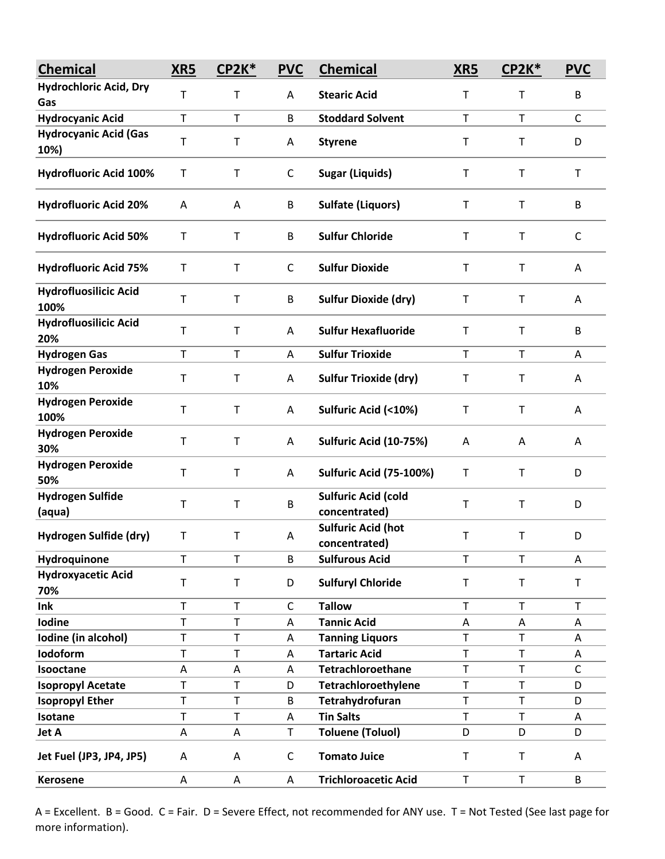| <b>Chemical</b>                      | XR5          | CP2K*        | <b>PVC</b>   | <b>Chemical</b>                             | XR5         | <b>CP2K*</b> | <b>PVC</b>   |
|--------------------------------------|--------------|--------------|--------------|---------------------------------------------|-------------|--------------|--------------|
| <b>Hydrochloric Acid, Dry</b>        | T            | Τ            | Α            | <b>Stearic Acid</b>                         | Т           | T            | B            |
| Gas                                  |              |              |              |                                             |             |              |              |
| <b>Hydrocyanic Acid</b>              | $\mathsf T$  | $\top$       | B            | <b>Stoddard Solvent</b>                     | T           | T            | $\mathsf{C}$ |
| <b>Hydrocyanic Acid (Gas</b><br>10%) | $\sf T$      | $\mathsf T$  | А            | <b>Styrene</b>                              | Т           | $\sf T$      | D            |
| <b>Hydrofluoric Acid 100%</b>        | T            | Τ            | C            | <b>Sugar (Liquids)</b>                      | Τ           | Τ            | T            |
| <b>Hydrofluoric Acid 20%</b>         | Α            | A            | B            | <b>Sulfate (Liquors)</b>                    | Τ           | T            | B            |
| <b>Hydrofluoric Acid 50%</b>         | Т            | $\mathsf T$  | B            | <b>Sulfur Chloride</b>                      | т           | Т            | C            |
| <b>Hydrofluoric Acid 75%</b>         | $\sf T$      | $\mathsf T$  | $\mathsf C$  | <b>Sulfur Dioxide</b>                       | T           | T            | Α            |
| <b>Hydrofluosilicic Acid</b><br>100% | T            | $\mathsf T$  | B            | <b>Sulfur Dioxide (dry)</b>                 | Τ           | T            | A            |
| <b>Hydrofluosilicic Acid</b><br>20%  | $\mathsf T$  | $\mathsf T$  | A            | <b>Sulfur Hexafluoride</b>                  | Т           | T            | B            |
| <b>Hydrogen Gas</b>                  | Т            | T            | Α            | <b>Sulfur Trioxide</b>                      | T           | T            | A            |
| <b>Hydrogen Peroxide</b><br>10%      | Т            | T            | A            | <b>Sulfur Trioxide (dry)</b>                | Т           | т            | A            |
| <b>Hydrogen Peroxide</b><br>100%     | $\mathsf T$  | $\sf T$      | A            | Sulfuric Acid (<10%)                        | T           | $\mathsf T$  | Α            |
| <b>Hydrogen Peroxide</b><br>30%      | $\mathsf T$  | $\mathsf T$  | A            | Sulfuric Acid (10-75%)                      | Α           | Α            | Α            |
| <b>Hydrogen Peroxide</b><br>50%      | $\sf T$      | T            | Α            | <b>Sulfuric Acid (75-100%)</b>              | Т           | T            | D            |
| <b>Hydrogen Sulfide</b><br>(aqua)    | Т            | $\mathsf T$  | B            | <b>Sulfuric Acid (cold</b><br>concentrated) | т           | Т            | D            |
| Hydrogen Sulfide (dry)               | Τ            | Τ            | Α            | <b>Sulfuric Acid (hot</b><br>concentrated)  | Τ           | T            | D            |
| Hydroquinone                         | $\mathsf{T}$ | $\mathsf{T}$ | B            | <b>Sulfurous Acid</b>                       | T.          | T            | Α            |
| <b>Hydroxyacetic Acid</b><br>70%     | $\mathsf T$  | $\sf T$      | D            | <b>Sulfuryl Chloride</b>                    | T           | T            | T            |
| Ink                                  | T            | $\mathsf T$  | $\mathsf{C}$ | <b>Tallow</b>                               | $\mathsf T$ | T            | $\mathsf T$  |
| Iodine                               | T            | $\top$       | A            | <b>Tannic Acid</b>                          | Α           | А            | A            |
| Iodine (in alcohol)                  | T            | T            | A            | <b>Tanning Liquors</b>                      | T           | T            | Α            |
| Iodoform                             | T            | $\sf T$      | Α            | <b>Tartaric Acid</b>                        | $\mathsf T$ | T            | Α            |
| Isooctane                            | A            | A            | Α            | <b>Tetrachloroethane</b>                    | T           | T            | $\mathsf{C}$ |
| <b>Isopropyl Acetate</b>             | T            | T            | D            | Tetrachloroethylene                         | T           | T            | D            |
| <b>Isopropyl Ether</b>               | T            | $\mathsf T$  | B            | Tetrahydrofuran                             | $\mathsf T$ | T            | D            |
| Isotane                              | $\mathsf{T}$ | $\mathsf T$  | A            | <b>Tin Salts</b>                            | $\mathsf T$ | T            | Α            |
| Jet A                                | A            | Α            | Τ            | <b>Toluene (Toluol)</b>                     | D           | D            | D            |
| Jet Fuel (JP3, JP4, JP5)             | Α            | A            | C            | <b>Tomato Juice</b>                         | $\mathsf T$ | T            | A            |
| Kerosene                             | Α            | Α            | Α            | <b>Trichloroacetic Acid</b>                 | T           | $\mathsf T$  | B            |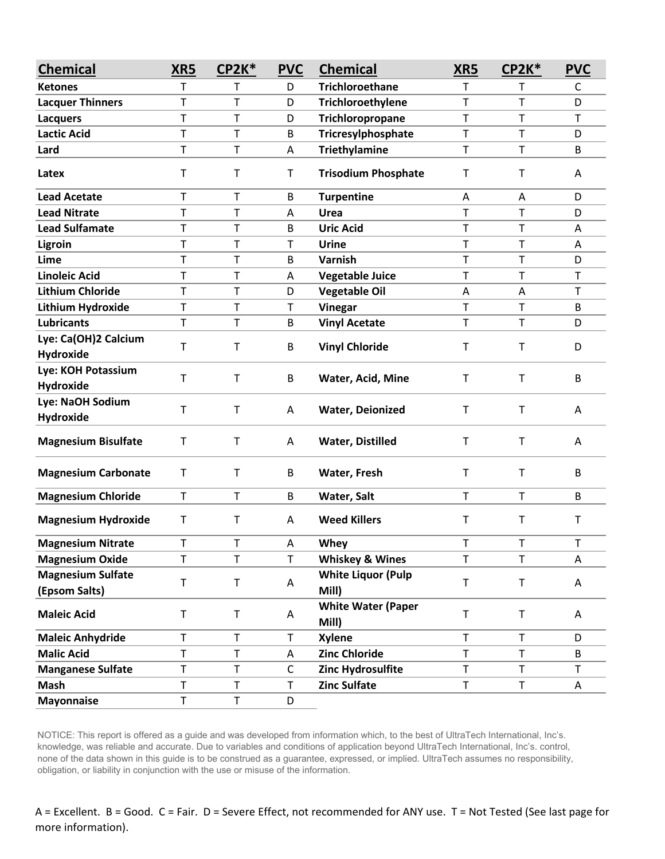| <b>Chemical</b>            | XR5         | <b>CP2K*</b> | <b>PVC</b> | <b>Chemical</b>                    | XR5         | <b>CP2K*</b> | <b>PVC</b> |
|----------------------------|-------------|--------------|------------|------------------------------------|-------------|--------------|------------|
| <b>Ketones</b>             | T           | т            | D          | <b>Trichloroethane</b>             | т           | т            | C          |
| <b>Lacquer Thinners</b>    | T           | T            | D          | Trichloroethylene                  | T           | T            | D          |
| <b>Lacquers</b>            | T           | T            | D          | Trichloropropane                   | T           | $\mathsf T$  | T          |
| <b>Lactic Acid</b>         | T           | T            | В          | Tricresylphosphate                 | $\mathsf T$ | T            | D          |
| Lard                       | T           | Т            | Α          | <b>Triethylamine</b>               | $\mathsf T$ | $\mathsf T$  | B          |
| Latex                      | T           | T            | T          | <b>Trisodium Phosphate</b>         | T           | $\mathsf T$  | A          |
| <b>Lead Acetate</b>        | Т           | Т            | B          | <b>Turpentine</b>                  | Α           | Α            | D          |
| <b>Lead Nitrate</b>        | T           | T            | A          | Urea                               | $\mathsf T$ | T            | D          |
| <b>Lead Sulfamate</b>      | Т           | Т            | В          | <b>Uric Acid</b>                   | Τ           | $\mathsf T$  | A          |
| Ligroin                    | $\mathsf T$ | T            | T          | Urine                              | $\mathsf T$ | $\mathsf T$  | Α          |
| Lime                       | T           | T            | B          | Varnish                            | T           | T            | D          |
| <b>Linoleic Acid</b>       | T           | т            | A          | <b>Vegetable Juice</b>             | $\mathsf T$ | T            | T          |
| <b>Lithium Chloride</b>    | T           | Т            | D          | <b>Vegetable Oil</b>               | A           | Α            | T          |
| Lithium Hydroxide          | $\mathsf T$ | T            | Т          | Vinegar                            | $\mathsf T$ | $\mathsf T$  | B          |
| <b>Lubricants</b>          | T           | T            | В          | <b>Vinyl Acetate</b>               | $\mathsf T$ | T            | D          |
| Lye: Ca(OH)2 Calcium       | T           | Т            | B          | <b>Vinyl Chloride</b>              | T           | $\mathsf T$  | D          |
| <b>Hydroxide</b>           |             |              |            |                                    |             |              |            |
| Lye: KOH Potassium         | т           | Т            | B          | Water, Acid, Mine                  | T           | $\mathsf{T}$ | B          |
| <b>Hydroxide</b>           |             |              |            |                                    |             |              |            |
| Lye: NaOH Sodium           | $\mathsf T$ | T            | A          | <b>Water, Deionized</b>            | $\mathsf T$ | $\mathsf{T}$ | A          |
| <b>Hydroxide</b>           |             |              |            |                                    |             |              |            |
| <b>Magnesium Bisulfate</b> | T           | Т            | A          | <b>Water, Distilled</b>            | $\mathsf T$ | $\mathsf T$  | A          |
| <b>Magnesium Carbonate</b> | T           | T            | B          | Water, Fresh                       | $\sf T$     | $\mathsf T$  | B          |
| <b>Magnesium Chloride</b>  | T           | T            | B          | Water, Salt                        | $\mathsf T$ | $\mathsf{T}$ | B          |
| <b>Magnesium Hydroxide</b> | Τ           | Т            | A          | <b>Weed Killers</b>                | $\mathsf T$ | $\mathsf{T}$ | T          |
| <b>Magnesium Nitrate</b>   | T           | T            | A          | Whey                               | T           | $\mathsf T$  | T          |
| <b>Magnesium Oxide</b>     | $\mathsf T$ | T            | T          | <b>Whiskey &amp; Wines</b>         | $\mathsf T$ | $\mathsf T$  | Α          |
| <b>Magnesium Sulfate</b>   | T           | T            |            | <b>White Liquor (Pulp</b>          | $\sf T$     | $\sf T$      |            |
| (Epsom Salts)              |             |              | A          | Mill)                              |             |              | A          |
| <b>Maleic Acid</b>         | T           | T            | A          | <b>White Water (Paper</b><br>Mill) | $\sf T$     | $\sf T$      | A          |
| <b>Maleic Anhydride</b>    | $\mathsf T$ | T            | T          | <b>Xylene</b>                      | $\mathsf T$ | $\mathsf T$  | D          |
| <b>Malic Acid</b>          | T           | T            | Α          | <b>Zinc Chloride</b>               | $\mathsf T$ | $\mathsf{T}$ | B          |
| <b>Manganese Sulfate</b>   | $\top$      | T            | C          | Zinc Hydrosulfite                  | $\top$      | $\mathsf T$  | T          |
| <b>Mash</b>                | Τ           | Τ            | Т          | <b>Zinc Sulfate</b>                | T           | T.           | A          |
| <b>Mayonnaise</b>          | $\top$      | T            | D          |                                    |             |              |            |

NOTICE: This report is offered as a guide and was developed from information which, to the best of UltraTech International, Inc's. knowledge, was reliable and accurate. Due to variables and conditions of application beyond UltraTech International, Inc's. control, none of the data shown in this guide is to be construed as a guarantee, expressed, or implied. UltraTech assumes no responsibility, obligation, or liability in conjunction with the use or misuse of the information.